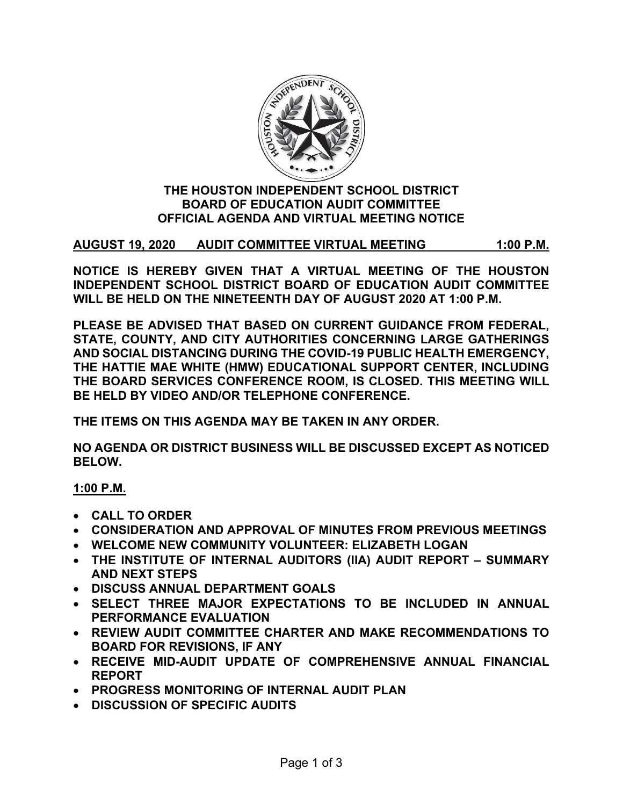

#### **THE HOUSTON INDEPENDENT SCHOOL DISTRICT BOARD OF EDUCATION AUDIT COMMITTEE OFFICIAL AGENDA AND VIRTUAL MEETING NOTICE**

## **AUGUST 19, 2020 AUDIT COMMITTEE VIRTUAL MEETING 1:00 P.M.**

**NOTICE IS HEREBY GIVEN THAT A VIRTUAL MEETING OF THE HOUSTON INDEPENDENT SCHOOL DISTRICT BOARD OF EDUCATION AUDIT COMMITTEE WILL BE HELD ON THE NINETEENTH DAY OF AUGUST 2020 AT 1:00 P.M.**

**PLEASE BE ADVISED THAT BASED ON CURRENT GUIDANCE FROM FEDERAL, STATE, COUNTY, AND CITY AUTHORITIES CONCERNING LARGE GATHERINGS AND SOCIAL DISTANCING DURING THE COVID-19 PUBLIC HEALTH EMERGENCY, THE HATTIE MAE WHITE (HMW) EDUCATIONAL SUPPORT CENTER, INCLUDING THE BOARD SERVICES CONFERENCE ROOM, IS CLOSED. THIS MEETING WILL BE HELD BY VIDEO AND/OR TELEPHONE CONFERENCE.**

**THE ITEMS ON THIS AGENDA MAY BE TAKEN IN ANY ORDER.**

**NO AGENDA OR DISTRICT BUSINESS WILL BE DISCUSSED EXCEPT AS NOTICED BELOW.**

## **1:00 P.M.**

- **CALL TO ORDER**
- **CONSIDERATION AND APPROVAL OF MINUTES FROM PREVIOUS MEETINGS**
- **WELCOME NEW COMMUNITY VOLUNTEER: ELIZABETH LOGAN**
- **THE INSTITUTE OF INTERNAL AUDITORS (IIA) AUDIT REPORT SUMMARY AND NEXT STEPS**
- **DISCUSS ANNUAL DEPARTMENT GOALS**
- **SELECT THREE MAJOR EXPECTATIONS TO BE INCLUDED IN ANNUAL PERFORMANCE EVALUATION**
- **REVIEW AUDIT COMMITTEE CHARTER AND MAKE RECOMMENDATIONS TO BOARD FOR REVISIONS, IF ANY**
- **RECEIVE MID-AUDIT UPDATE OF COMPREHENSIVE ANNUAL FINANCIAL REPORT**
- **PROGRESS MONITORING OF INTERNAL AUDIT PLAN**
- **DISCUSSION OF SPECIFIC AUDITS**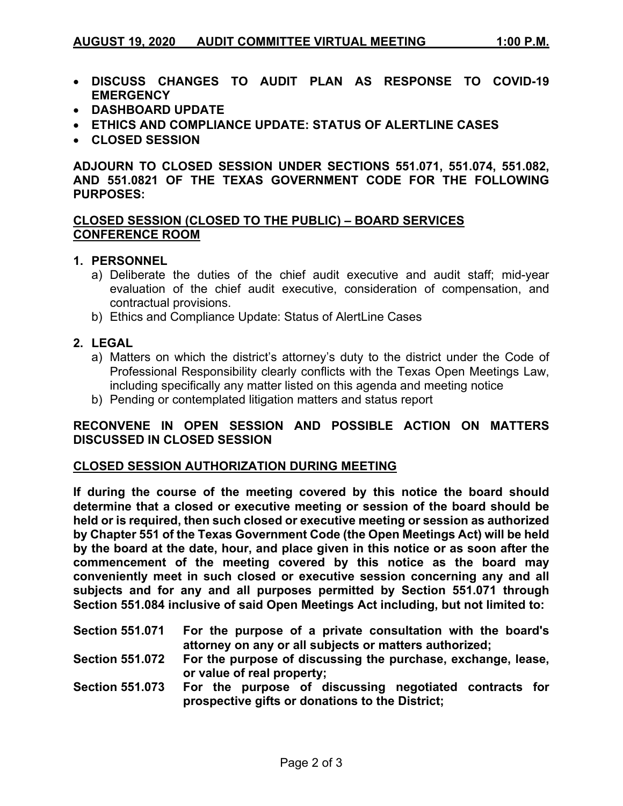- **DISCUSS CHANGES TO AUDIT PLAN AS RESPONSE TO COVID-19 EMERGENCY**
- **DASHBOARD UPDATE**
- **ETHICS AND COMPLIANCE UPDATE: STATUS OF ALERTLINE CASES**
- **CLOSED SESSION**

**ADJOURN TO CLOSED SESSION UNDER SECTIONS 551.071, 551.074, 551.082, AND 551.0821 OF THE TEXAS GOVERNMENT CODE FOR THE FOLLOWING PURPOSES:**

#### **CLOSED SESSION (CLOSED TO THE PUBLIC) – BOARD SERVICES CONFERENCE ROOM**

#### **1. PERSONNEL**

- a) Deliberate the duties of the chief audit executive and audit staff; mid-year evaluation of the chief audit executive, consideration of compensation, and contractual provisions.
- b) Ethics and Compliance Update: Status of AlertLine Cases

#### **2. LEGAL**

- a) Matters on which the district's attorney's duty to the district under the Code of Professional Responsibility clearly conflicts with the Texas Open Meetings Law, including specifically any matter listed on this agenda and meeting notice
- b) Pending or contemplated litigation matters and status report

### **RECONVENE IN OPEN SESSION AND POSSIBLE ACTION ON MATTERS DISCUSSED IN CLOSED SESSION**

#### **CLOSED SESSION AUTHORIZATION DURING MEETING**

**If during the course of the meeting covered by this notice the board should determine that a closed or executive meeting or session of the board should be held or is required, then such closed or executive meeting or session as authorized by Chapter 551 of the Texas Government Code (the Open Meetings Act) will be held by the board at the date, hour, and place given in this notice or as soon after the commencement of the meeting covered by this notice as the board may conveniently meet in such closed or executive session concerning any and all subjects and for any and all purposes permitted by Section 551.071 through Section 551.084 inclusive of said Open Meetings Act including, but not limited to:**

| <b>Section 551.071</b> | For the purpose of a private consultation with the board's |
|------------------------|------------------------------------------------------------|
|                        | attorney on any or all subjects or matters authorized;     |
| <b>Section 551 072</b> | For the nurnose of discussing the nurchase exchange lease  |

**Section 551.072 For the purpose of discussing the purchase, exchange, lease, or value of real property;** 

**Section 551.073 For the purpose of discussing negotiated contracts for prospective gifts or donations to the District;**